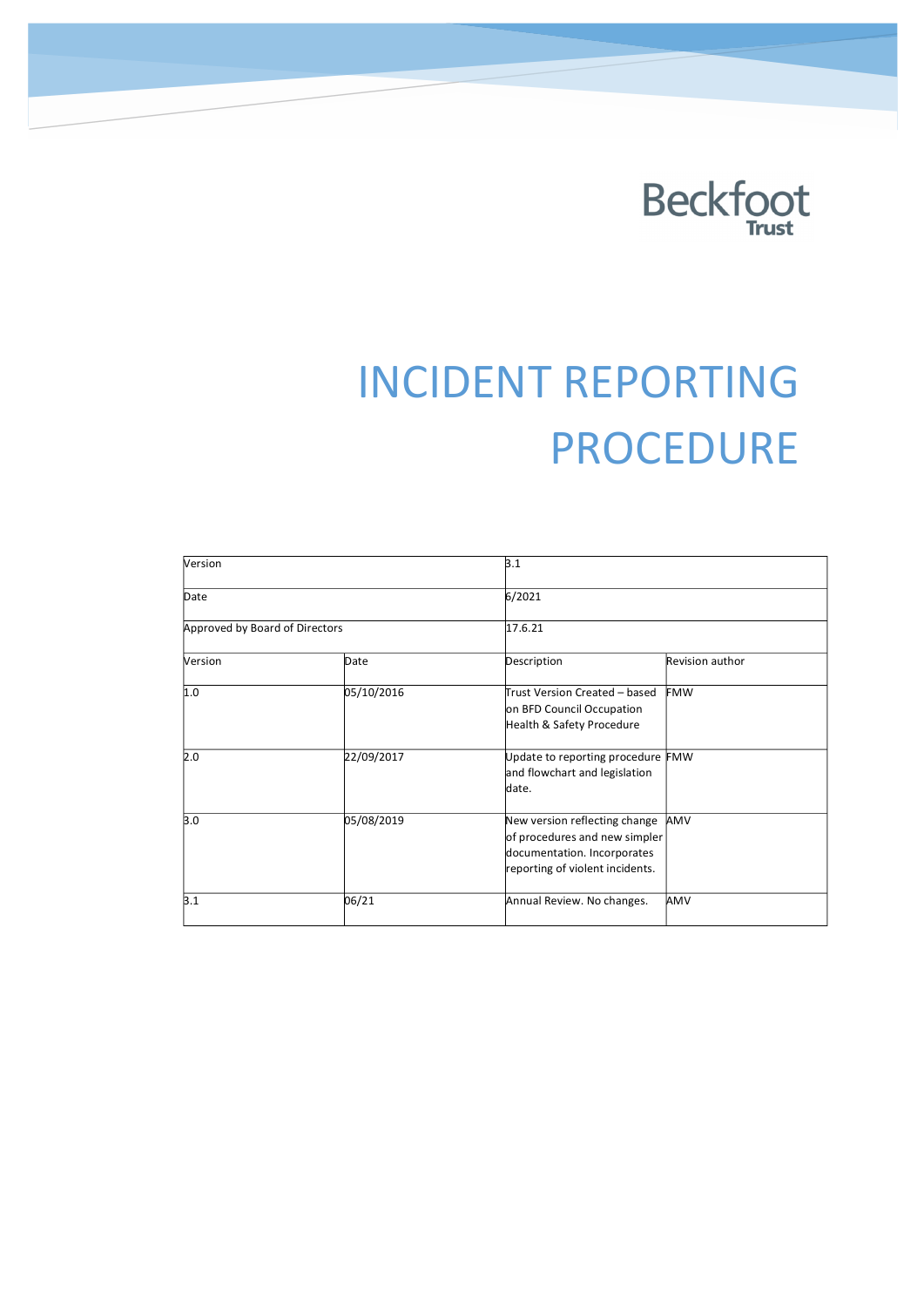

# INCIDENT REPORTING PROCEDURE

| Version                        |            | 3.1                                                                                                                              |                 |
|--------------------------------|------------|----------------------------------------------------------------------------------------------------------------------------------|-----------------|
| Date                           |            | 6/2021                                                                                                                           |                 |
| Approved by Board of Directors |            | 17.6.21                                                                                                                          |                 |
| Version                        | Date       | Description                                                                                                                      | Revision author |
| 1.0                            | 05/10/2016 | Trust Version Created – based<br>on BFD Council Occupation<br>Health & Safety Procedure                                          | <b>FMW</b>      |
| 2.0                            | 22/09/2017 | Update to reporting procedure FMW<br>and flowchart and legislation<br>date.                                                      |                 |
| 3.0                            | 05/08/2019 | New version reflecting change<br>of procedures and new simpler<br>documentation. Incorporates<br>reporting of violent incidents. | AMV             |
| 3.1                            | 06/21      | Annual Review. No changes.                                                                                                       | AMV             |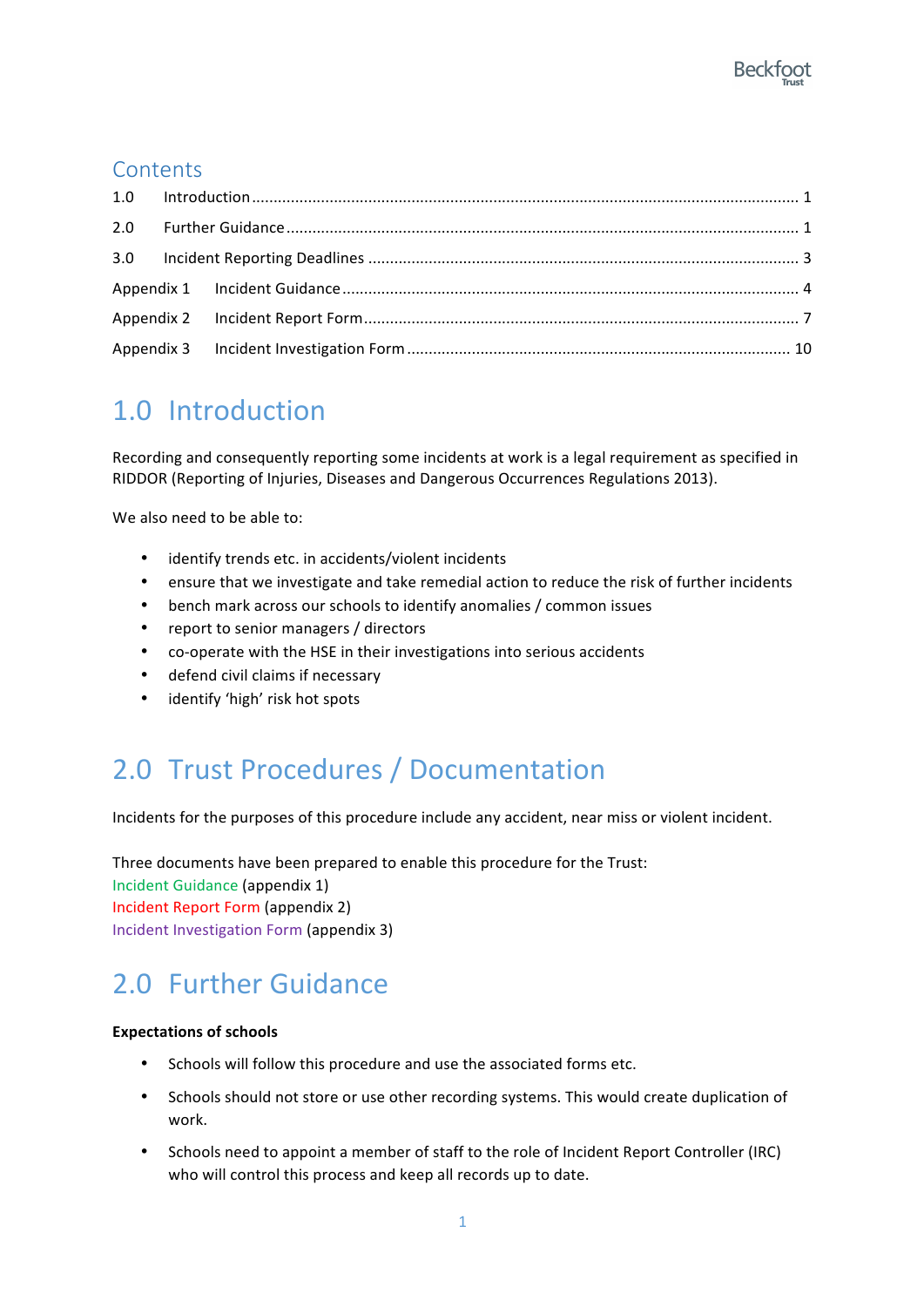#### **Contents**

## 1.0 Introduction

Recording and consequently reporting some incidents at work is a legal requirement as specified in RIDDOR (Reporting of Injuries, Diseases and Dangerous Occurrences Regulations 2013).

We also need to be able to:

- identify trends etc. in accidents/violent incidents
- ensure that we investigate and take remedial action to reduce the risk of further incidents
- bench mark across our schools to identify anomalies / common issues
- report to senior managers / directors
- co-operate with the HSE in their investigations into serious accidents
- defend civil claims if necessary
- identify 'high' risk hot spots

## 2.0 Trust Procedures / Documentation

Incidents for the purposes of this procedure include any accident, near miss or violent incident.

Three documents have been prepared to enable this procedure for the Trust: Incident Guidance (appendix 1) Incident Report Form (appendix 2) Incident Investigation Form (appendix 3)

## 2.0 Further Guidance

#### **Expectations of schools**

- Schools will follow this procedure and use the associated forms etc.
- Schools should not store or use other recording systems. This would create duplication of work.
- Schools need to appoint a member of staff to the role of Incident Report Controller (IRC) who will control this process and keep all records up to date.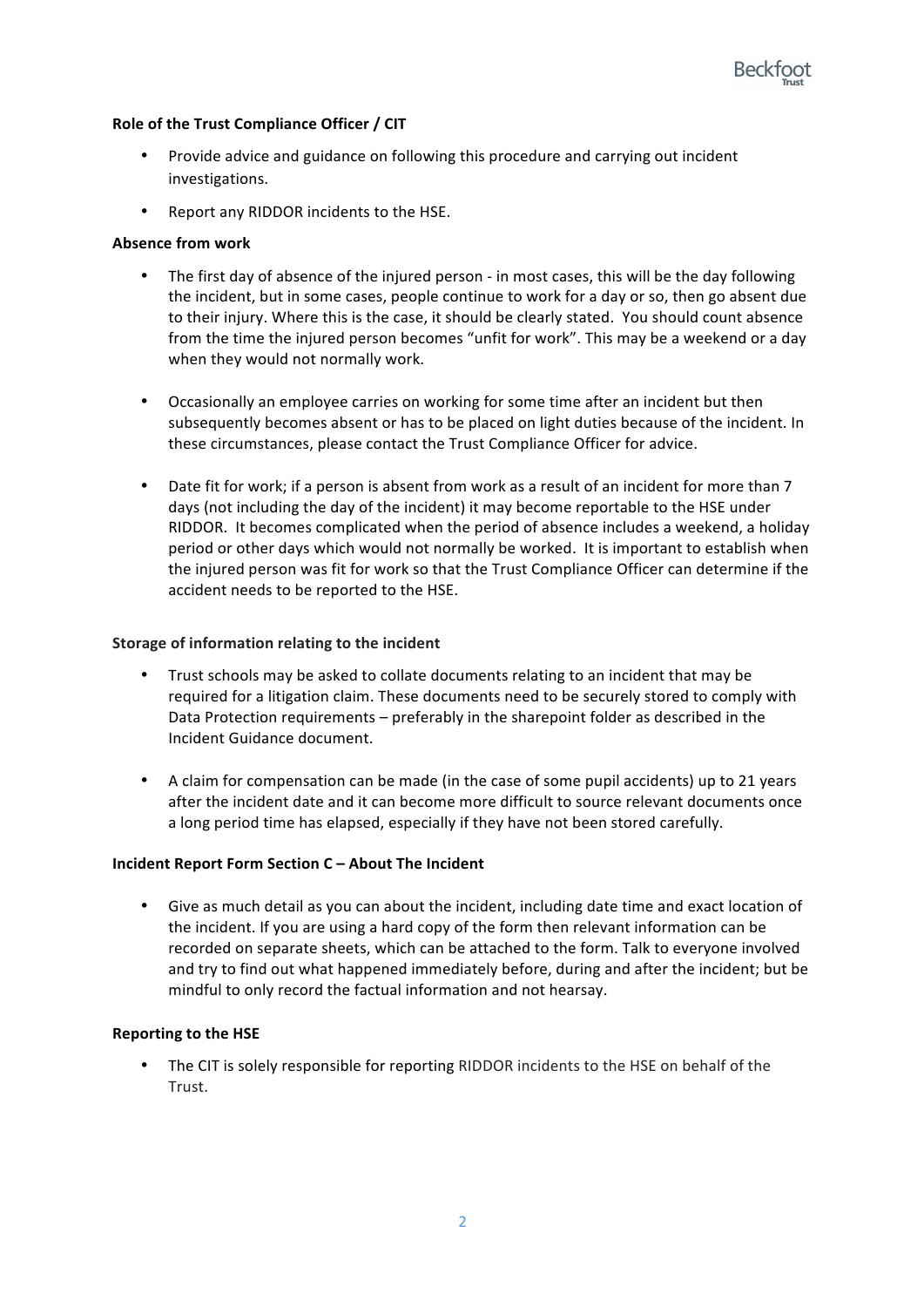#### Role of the Trust Compliance Officer / CIT

- Provide advice and guidance on following this procedure and carrying out incident investigations.
- Report any RIDDOR incidents to the HSE.

#### **Absence from work**

- The first day of absence of the injured person in most cases, this will be the day following the incident, but in some cases, people continue to work for a day or so, then go absent due to their injury. Where this is the case, it should be clearly stated. You should count absence from the time the injured person becomes "unfit for work". This may be a weekend or a day when they would not normally work.
- Occasionally an employee carries on working for some time after an incident but then subsequently becomes absent or has to be placed on light duties because of the incident. In these circumstances, please contact the Trust Compliance Officer for advice.
- Date fit for work; if a person is absent from work as a result of an incident for more than 7 days (not including the day of the incident) it may become reportable to the HSE under RIDDOR. It becomes complicated when the period of absence includes a weekend, a holiday period or other days which would not normally be worked. It is important to establish when the injured person was fit for work so that the Trust Compliance Officer can determine if the accident needs to be reported to the HSE.

#### **Storage of information relating to the incident**

- Trust schools may be asked to collate documents relating to an incident that may be required for a litigation claim. These documents need to be securely stored to comply with Data Protection requirements – preferably in the sharepoint folder as described in the Incident Guidance document.
- A claim for compensation can be made (in the case of some pupil accidents) up to 21 years after the incident date and it can become more difficult to source relevant documents once a long period time has elapsed, especially if they have not been stored carefully.

#### **Incident Report Form Section C - About The Incident**

• Give as much detail as you can about the incident, including date time and exact location of the incident. If you are using a hard copy of the form then relevant information can be recorded on separate sheets, which can be attached to the form. Talk to everyone involved and try to find out what happened immediately before, during and after the incident; but be mindful to only record the factual information and not hearsay.

#### **Reporting to the HSE**

The CIT is solely responsible for reporting RIDDOR incidents to the HSE on behalf of the Trust.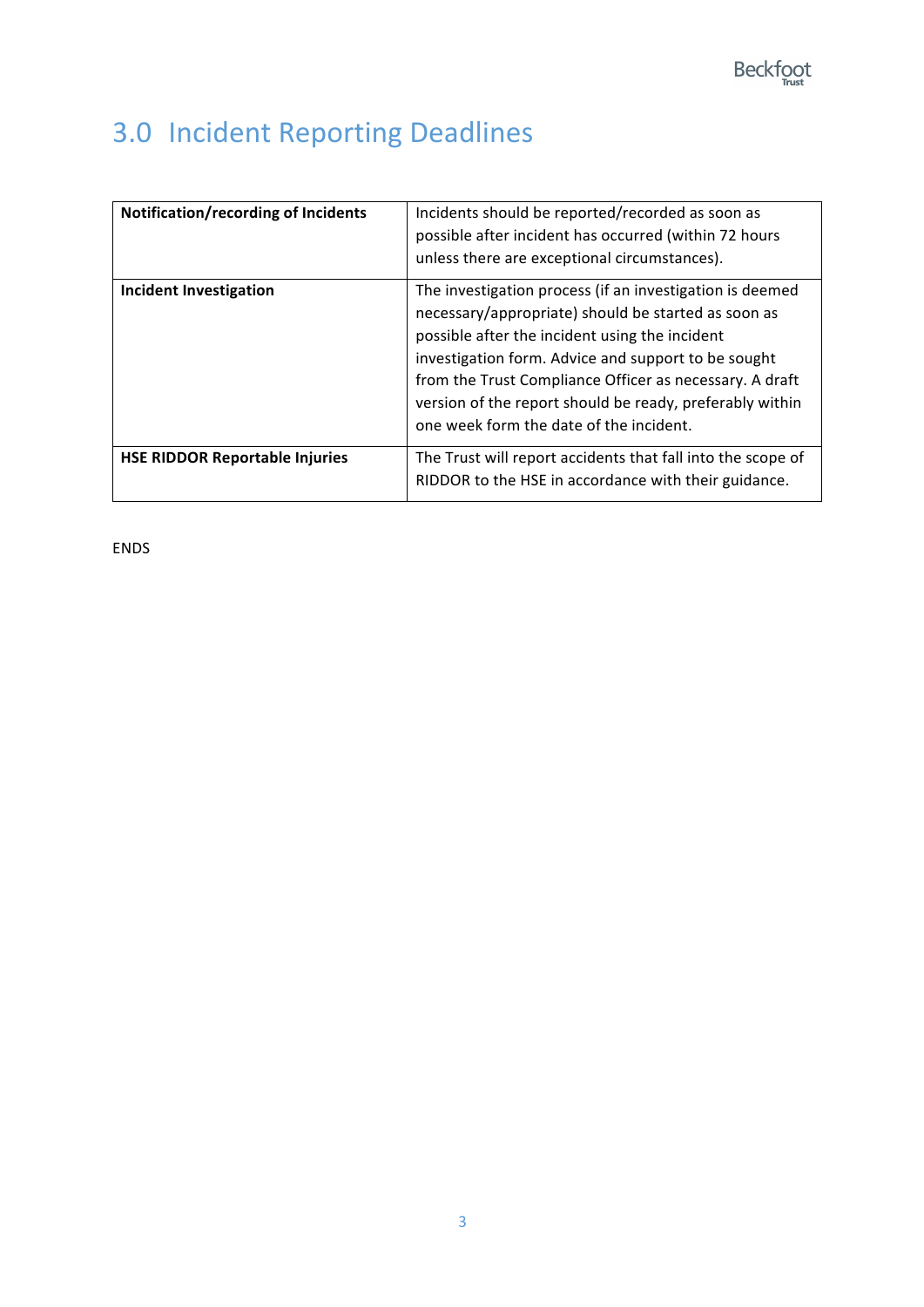# 3.0 Incident Reporting Deadlines

| Notification/recording of Incidents   | Incidents should be reported/recorded as soon as<br>possible after incident has occurred (within 72 hours<br>unless there are exceptional circumstances).                                                                                                                                                                                                                                  |
|---------------------------------------|--------------------------------------------------------------------------------------------------------------------------------------------------------------------------------------------------------------------------------------------------------------------------------------------------------------------------------------------------------------------------------------------|
| <b>Incident Investigation</b>         | The investigation process (if an investigation is deemed<br>necessary/appropriate) should be started as soon as<br>possible after the incident using the incident<br>investigation form. Advice and support to be sought<br>from the Trust Compliance Officer as necessary. A draft<br>version of the report should be ready, preferably within<br>one week form the date of the incident. |
| <b>HSE RIDDOR Reportable Injuries</b> | The Trust will report accidents that fall into the scope of<br>RIDDOR to the HSE in accordance with their guidance.                                                                                                                                                                                                                                                                        |

ENDS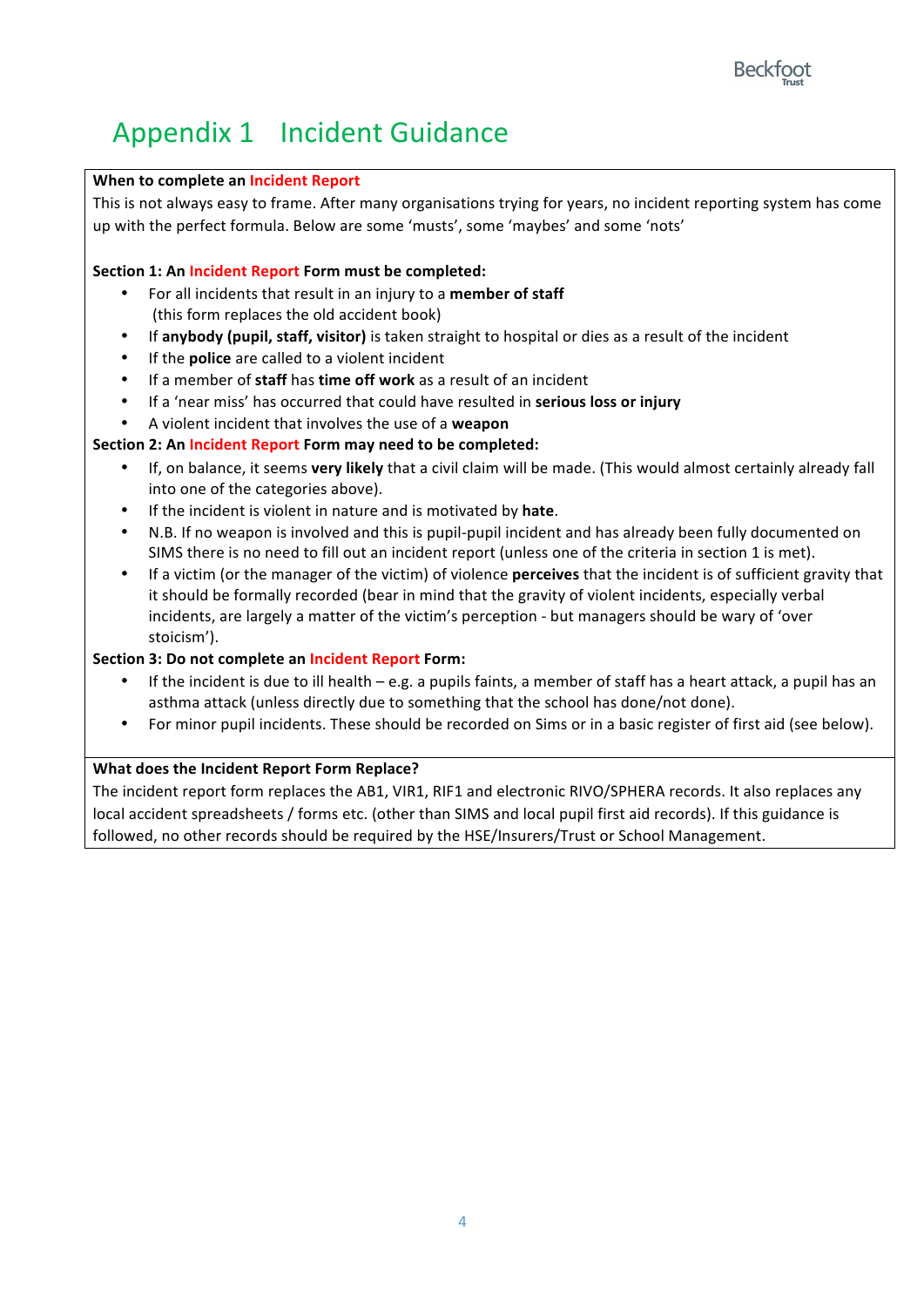# Appendix 1 Incident Guidance

#### **When to complete an Incident Report**

This is not always easy to frame. After many organisations trying for years, no incident reporting system has come up with the perfect formula. Below are some 'musts', some 'maybes' and some 'nots'

#### **Section 1: An Incident Report Form must be completed:**

- For all incidents that result in an injury to a **member of staff** (this form replaces the old accident book)
- If **anybody** (pupil, staff, visitor) is taken straight to hospital or dies as a result of the incident
- If the **police** are called to a violent incident
- If a member of **staff** has **time off work** as a result of an incident
- If a 'near miss' has occurred that could have resulted in **serious loss or injury**
- A violent incident that involves the use of a **weapon**

#### **Section 2: An Incident Report Form may need to be completed:**

- If, on balance, it seems **very likely** that a civil claim will be made. (This would almost certainly already fall into one of the categories above).
- If the incident is violent in nature and is motivated by hate.
- N.B. If no weapon is involved and this is pupil-pupil incident and has already been fully documented on SIMS there is no need to fill out an incident report (unless one of the criteria in section 1 is met).
- If a victim (or the manager of the victim) of violence **perceives** that the incident is of sufficient gravity that it should be formally recorded (bear in mind that the gravity of violent incidents, especially verbal incidents, are largely a matter of the victim's perception - but managers should be wary of 'over stoicism').

#### **Section 3: Do not complete an Incident Report Form:**

- If the incident is due to ill health e.g. a pupils faints, a member of staff has a heart attack, a pupil has an asthma attack (unless directly due to something that the school has done/not done).
- For minor pupil incidents. These should be recorded on Sims or in a basic register of first aid (see below).

#### **What does the Incident Report Form Replace?**

The incident report form replaces the AB1, VIR1, RIF1 and electronic RIVO/SPHERA records. It also replaces any local accident spreadsheets / forms etc. (other than SIMS and local pupil first aid records). If this guidance is followed, no other records should be required by the HSE/Insurers/Trust or School Management.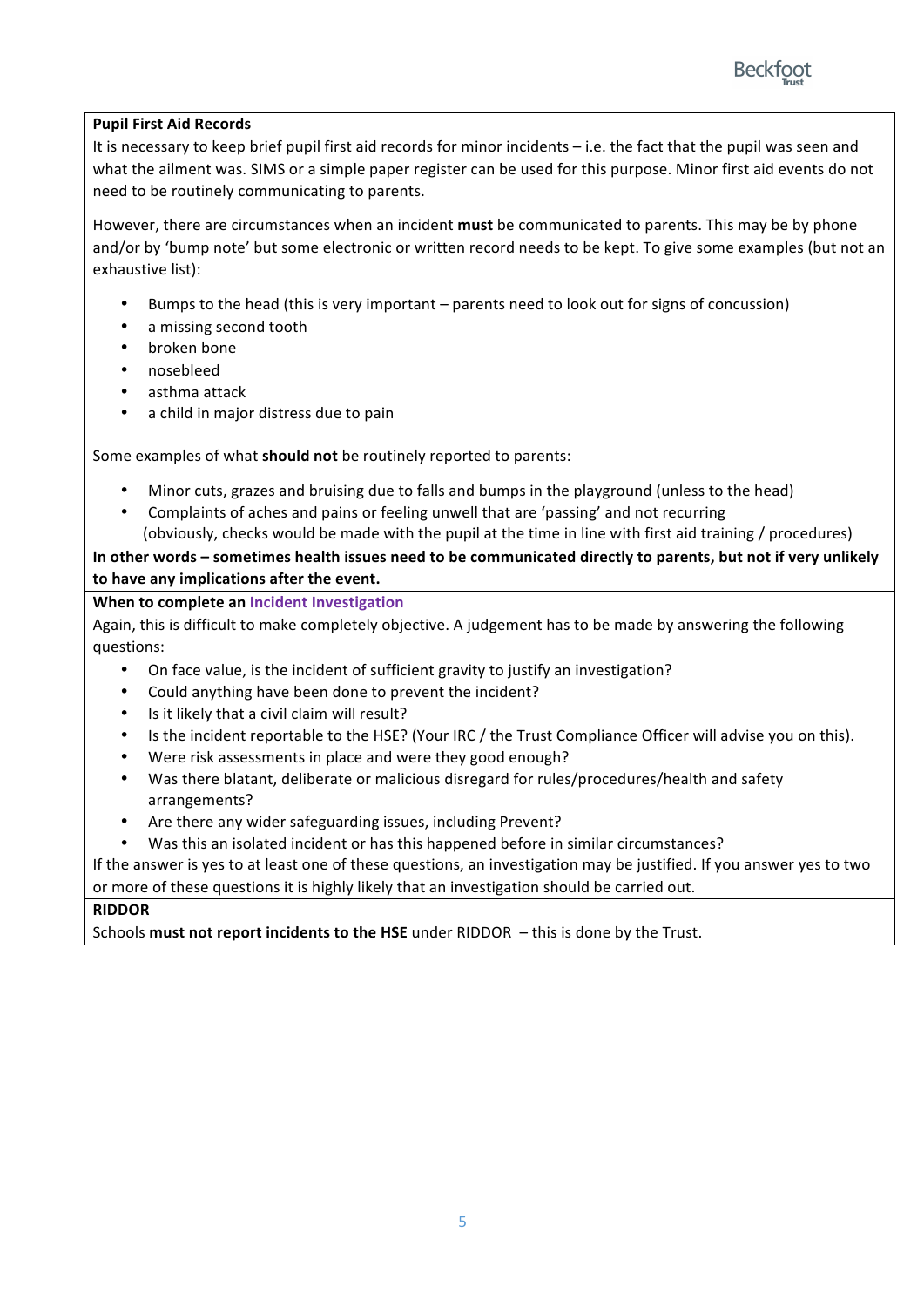

#### **Pupil First Aid Records**

It is necessary to keep brief pupil first aid records for minor incidents  $-$  i.e. the fact that the pupil was seen and what the ailment was. SIMS or a simple paper register can be used for this purpose. Minor first aid events do not need to be routinely communicating to parents.

However, there are circumstances when an incident **must** be communicated to parents. This may be by phone and/or by 'bump note' but some electronic or written record needs to be kept. To give some examples (but not an exhaustive list):

- Bumps to the head (this is very important parents need to look out for signs of concussion)
- a missing second tooth
- broken bone
- nosebleed
- asthma attack
- a child in major distress due to pain

Some examples of what should not be routinely reported to parents:

- Minor cuts, grazes and bruising due to falls and bumps in the playground (unless to the head)
- Complaints of aches and pains or feeling unwell that are 'passing' and not recurring (obviously, checks would be made with the pupil at the time in line with first aid training / procedures)

In other words – sometimes health issues need to be communicated directly to parents, but not if very unlikely to have any implications after the event.

#### **When to complete an Incident Investigation**

Again, this is difficult to make completely objective. A judgement has to be made by answering the following questions:

- On face value, is the incident of sufficient gravity to justify an investigation?
- Could anything have been done to prevent the incident?
- Is it likely that a civil claim will result?
- Is the incident reportable to the HSE? (Your IRC / the Trust Compliance Officer will advise you on this).
- Were risk assessments in place and were they good enough?
- Was there blatant, deliberate or malicious disregard for rules/procedures/health and safety arrangements?
- Are there any wider safeguarding issues, including Prevent?
- Was this an isolated incident or has this happened before in similar circumstances?

If the answer is yes to at least one of these questions, an investigation may be justified. If you answer yes to two or more of these questions it is highly likely that an investigation should be carried out.

#### **RIDDOR**

Schools must not report incidents to the HSE under RIDDOR - this is done by the Trust.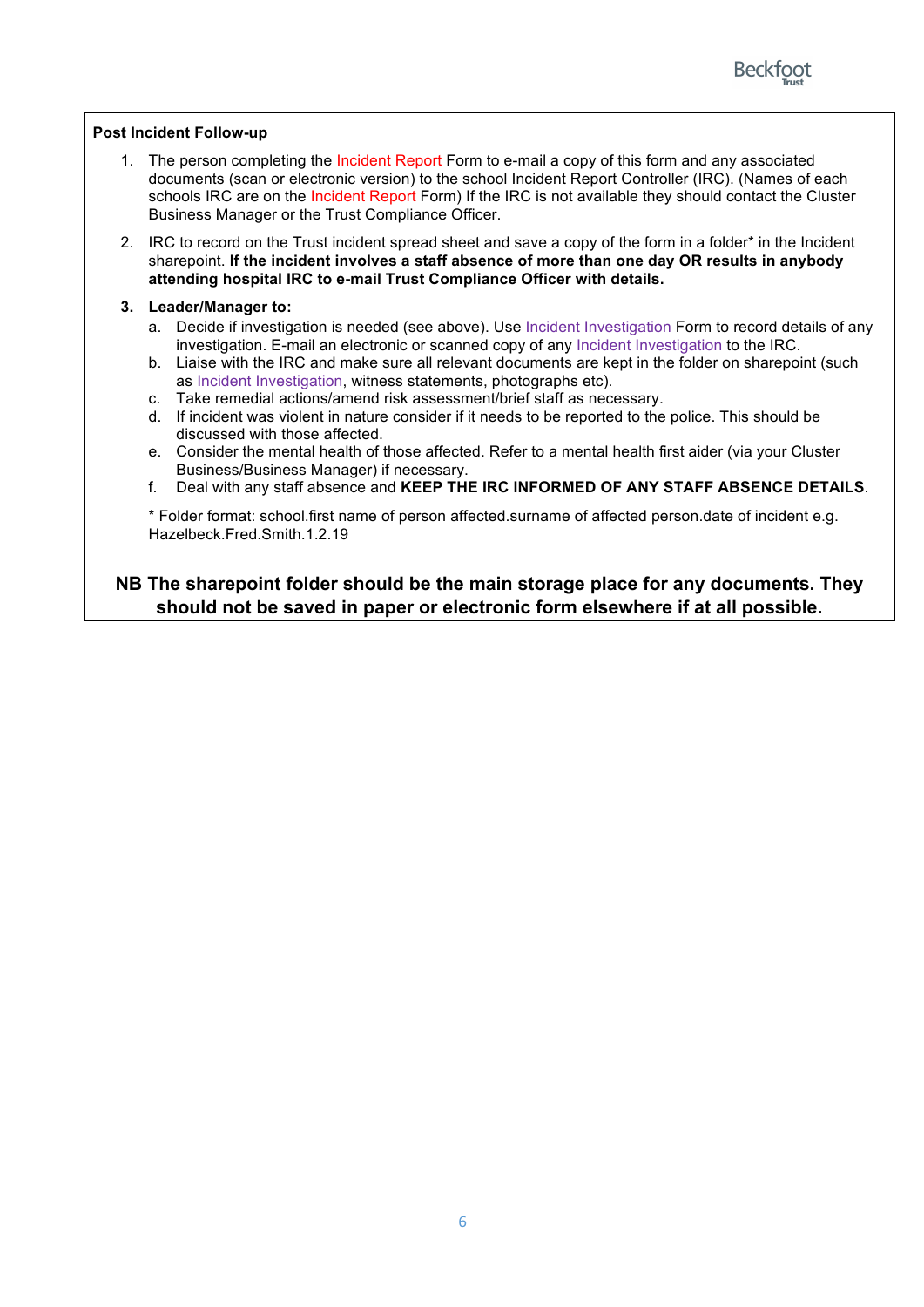

#### **Post Incident Follow-up**

- 1. The person completing the Incident Report Form to e-mail a copy of this form and any associated documents (scan or electronic version) to the school Incident Report Controller (IRC). (Names of each schools IRC are on the Incident Report Form) If the IRC is not available they should contact the Cluster Business Manager or the Trust Compliance Officer.
- 2. IRC to record on the Trust incident spread sheet and save a copy of the form in a folder\* in the Incident sharepoint. **If the incident involves a staff absence of more than one day OR results in anybody attending hospital IRC to e-mail Trust Compliance Officer with details.**

#### **3. Leader/Manager to:**

- a. Decide if investigation is needed (see above). Use Incident Investigation Form to record details of any investigation. E-mail an electronic or scanned copy of any Incident Investigation to the IRC.
- b. Liaise with the IRC and make sure all relevant documents are kept in the folder on sharepoint (such as Incident Investigation, witness statements, photographs etc).
- c. Take remedial actions/amend risk assessment/brief staff as necessary.
- d. If incident was violent in nature consider if it needs to be reported to the police. This should be discussed with those affected.
- e. Consider the mental health of those affected. Refer to a mental health first aider (via your Cluster Business/Business Manager) if necessary.
- f. Deal with any staff absence and **KEEP THE IRC INFORMED OF ANY STAFF ABSENCE DETAILS**.

\* Folder format: school.first name of person affected.surname of affected person.date of incident e.g. Hazelbeck.Fred.Smith.1.2.19

#### **NB The sharepoint folder should be the main storage place for any documents. They should not be saved in paper or electronic form elsewhere if at all possible.**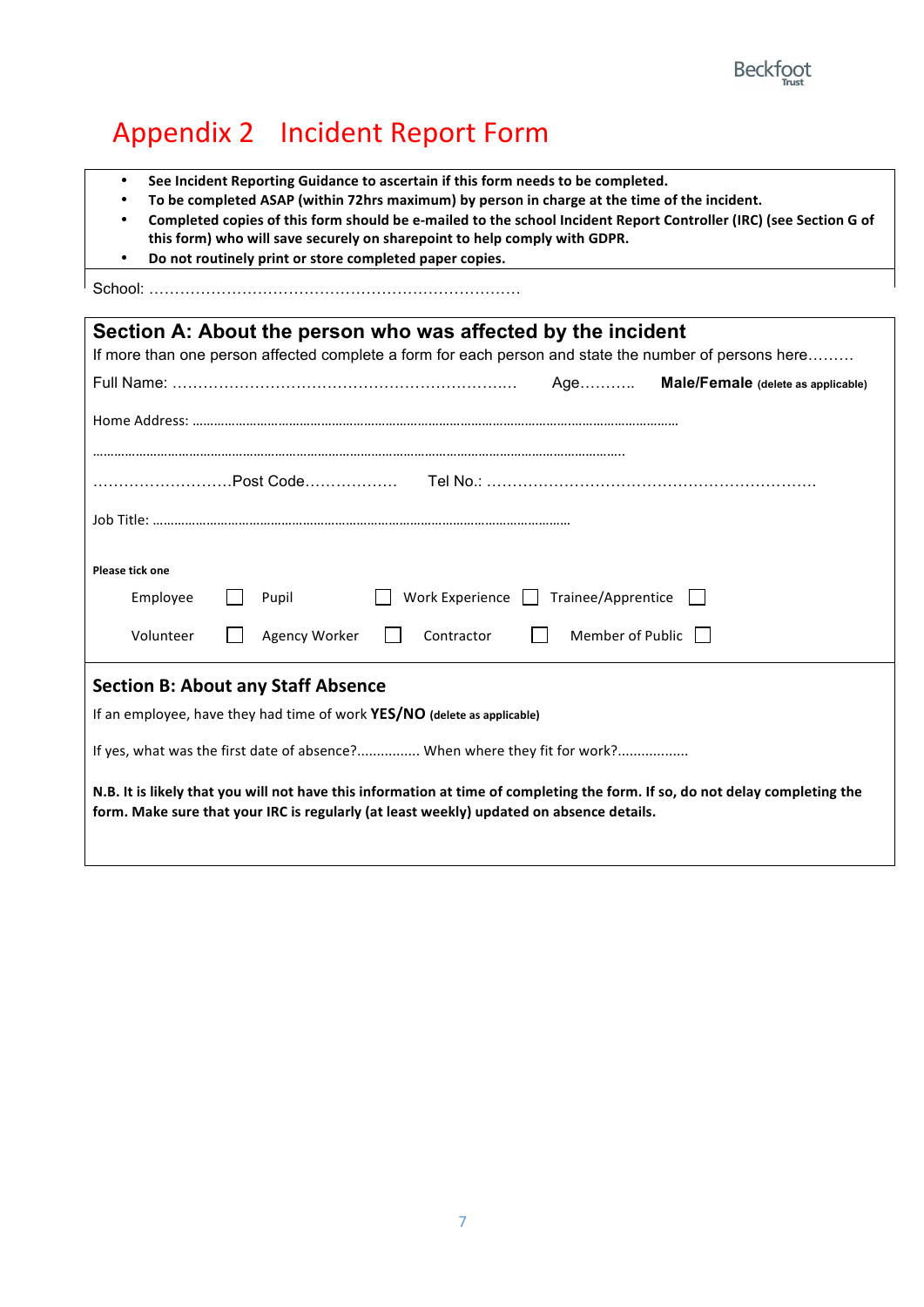# Appendix 2 Incident Report Form

- See Incident Reporting Guidance to ascertain if this form needs to be completed.
- To be completed ASAP (within 72hrs maximum) by person in charge at the time of the incident.
- Completed copies of this form should be e-mailed to the school Incident Report Controller (IRC) (see Section G of this form) who will save securely on sharepoint to help comply with GDPR.
- **•** Do not routinely print or store completed paper copies.

School: ………………………………………………………………

| Section A: About the person who was affected by the incident                                                                                                                                                             |  |  |
|--------------------------------------------------------------------------------------------------------------------------------------------------------------------------------------------------------------------------|--|--|
| If more than one person affected complete a form for each person and state the number of persons here                                                                                                                    |  |  |
| Age Male/Female (delete as applicable)                                                                                                                                                                                   |  |  |
|                                                                                                                                                                                                                          |  |  |
|                                                                                                                                                                                                                          |  |  |
| Post Code………………  Tel No.: …………………………………………………………                                                                                                                                                                         |  |  |
|                                                                                                                                                                                                                          |  |  |
|                                                                                                                                                                                                                          |  |  |
|                                                                                                                                                                                                                          |  |  |
| Please tick one                                                                                                                                                                                                          |  |  |
| Work Experience $\boxed{\phantom{a}}$ Trainee/Apprentice $\boxed{\phantom{a}}$<br>Employee<br>Pupil                                                                                                                      |  |  |
| Member of Public  <br>Volunteer<br>Agency Worker<br>Contractor                                                                                                                                                           |  |  |
|                                                                                                                                                                                                                          |  |  |
| <b>Section B: About any Staff Absence</b>                                                                                                                                                                                |  |  |
| If an employee, have they had time of work YES/NO (delete as applicable)                                                                                                                                                 |  |  |
| If yes, what was the first date of absence? When where they fit for work?                                                                                                                                                |  |  |
| N.B. It is likely that you will not have this information at time of completing the form. If so, do not delay completing the<br>form. Make sure that your IRC is regularly (at least weekly) updated on absence details. |  |  |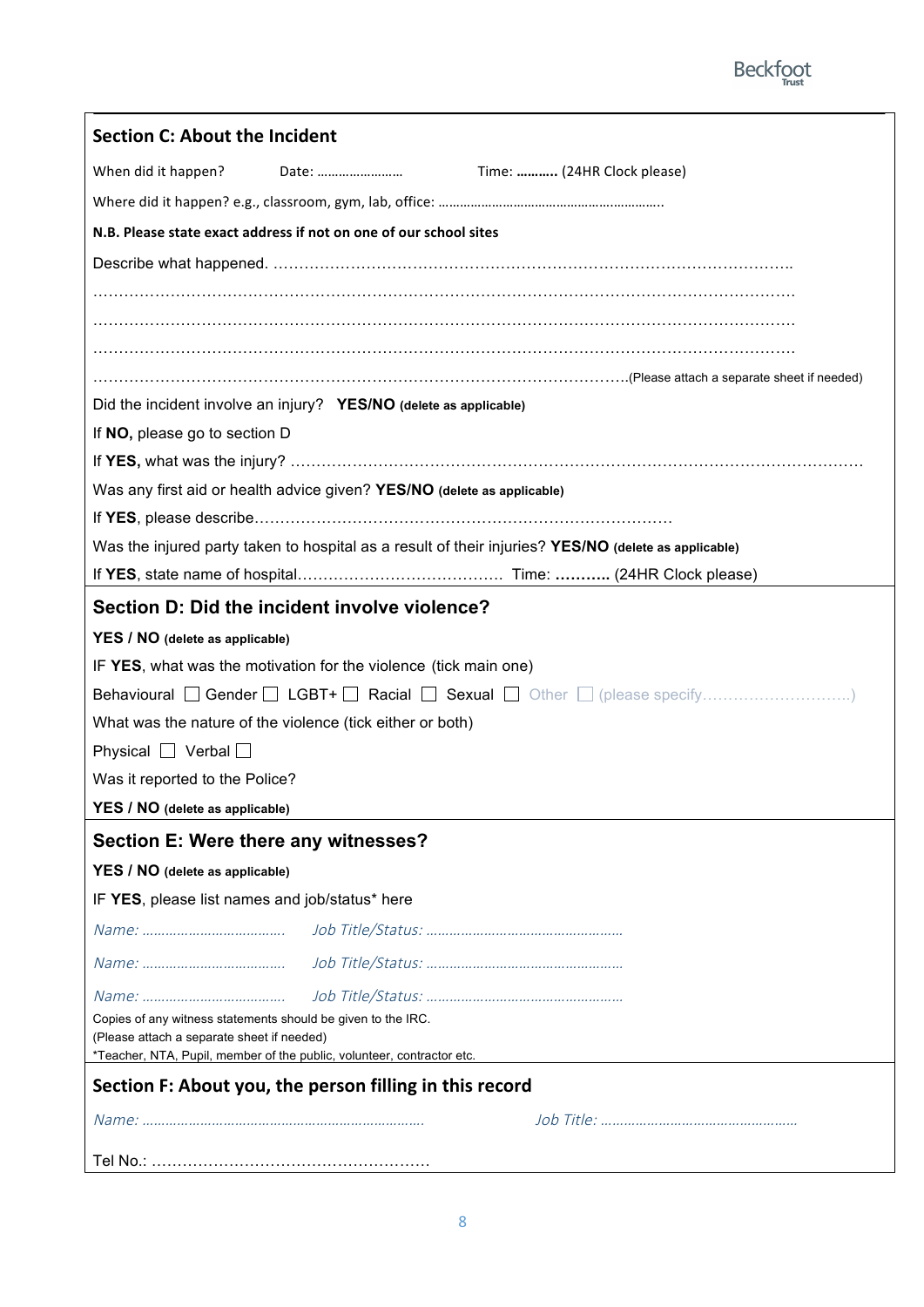

| Date:<br>When did it happen?<br>Time:  (24HR Clock please)<br>N.B. Please state exact address if not on one of our school sites<br>Did the incident involve an injury? YES/NO (delete as applicable)<br>If NO, please go to section D<br>Was any first aid or health advice given? YES/NO (delete as applicable)<br>Was the injured party taken to hospital as a result of their injuries? YES/NO (delete as applicable)<br>Section D: Did the incident involve violence?<br>YES / NO (delete as applicable)<br>IF YES, what was the motivation for the violence (tick main one)<br>What was the nature of the violence (tick either or both)<br>Physical $\Box$ Verbal $\Box$<br>Was it reported to the Police?<br>YES / NO (delete as applicable)<br>Section E: Were there any witnesses?<br>YES / NO (delete as applicable)<br>IF YES, please list names and job/status* here<br>Copies of any witness statements should be given to the IRC.<br>(Please attach a separate sheet if needed)<br>*Teacher, NTA, Pupil, member of the public, volunteer, contractor etc.<br>Section F: About you, the person filling in this record | <b>Section C: About the Incident</b> |
|-------------------------------------------------------------------------------------------------------------------------------------------------------------------------------------------------------------------------------------------------------------------------------------------------------------------------------------------------------------------------------------------------------------------------------------------------------------------------------------------------------------------------------------------------------------------------------------------------------------------------------------------------------------------------------------------------------------------------------------------------------------------------------------------------------------------------------------------------------------------------------------------------------------------------------------------------------------------------------------------------------------------------------------------------------------------------------------------------------------------------------------|--------------------------------------|
|                                                                                                                                                                                                                                                                                                                                                                                                                                                                                                                                                                                                                                                                                                                                                                                                                                                                                                                                                                                                                                                                                                                                     |                                      |
|                                                                                                                                                                                                                                                                                                                                                                                                                                                                                                                                                                                                                                                                                                                                                                                                                                                                                                                                                                                                                                                                                                                                     |                                      |
|                                                                                                                                                                                                                                                                                                                                                                                                                                                                                                                                                                                                                                                                                                                                                                                                                                                                                                                                                                                                                                                                                                                                     |                                      |
|                                                                                                                                                                                                                                                                                                                                                                                                                                                                                                                                                                                                                                                                                                                                                                                                                                                                                                                                                                                                                                                                                                                                     |                                      |
|                                                                                                                                                                                                                                                                                                                                                                                                                                                                                                                                                                                                                                                                                                                                                                                                                                                                                                                                                                                                                                                                                                                                     |                                      |
|                                                                                                                                                                                                                                                                                                                                                                                                                                                                                                                                                                                                                                                                                                                                                                                                                                                                                                                                                                                                                                                                                                                                     |                                      |
|                                                                                                                                                                                                                                                                                                                                                                                                                                                                                                                                                                                                                                                                                                                                                                                                                                                                                                                                                                                                                                                                                                                                     |                                      |
|                                                                                                                                                                                                                                                                                                                                                                                                                                                                                                                                                                                                                                                                                                                                                                                                                                                                                                                                                                                                                                                                                                                                     |                                      |
|                                                                                                                                                                                                                                                                                                                                                                                                                                                                                                                                                                                                                                                                                                                                                                                                                                                                                                                                                                                                                                                                                                                                     |                                      |
|                                                                                                                                                                                                                                                                                                                                                                                                                                                                                                                                                                                                                                                                                                                                                                                                                                                                                                                                                                                                                                                                                                                                     |                                      |
|                                                                                                                                                                                                                                                                                                                                                                                                                                                                                                                                                                                                                                                                                                                                                                                                                                                                                                                                                                                                                                                                                                                                     |                                      |
|                                                                                                                                                                                                                                                                                                                                                                                                                                                                                                                                                                                                                                                                                                                                                                                                                                                                                                                                                                                                                                                                                                                                     |                                      |
|                                                                                                                                                                                                                                                                                                                                                                                                                                                                                                                                                                                                                                                                                                                                                                                                                                                                                                                                                                                                                                                                                                                                     |                                      |
|                                                                                                                                                                                                                                                                                                                                                                                                                                                                                                                                                                                                                                                                                                                                                                                                                                                                                                                                                                                                                                                                                                                                     |                                      |
|                                                                                                                                                                                                                                                                                                                                                                                                                                                                                                                                                                                                                                                                                                                                                                                                                                                                                                                                                                                                                                                                                                                                     |                                      |
|                                                                                                                                                                                                                                                                                                                                                                                                                                                                                                                                                                                                                                                                                                                                                                                                                                                                                                                                                                                                                                                                                                                                     |                                      |
|                                                                                                                                                                                                                                                                                                                                                                                                                                                                                                                                                                                                                                                                                                                                                                                                                                                                                                                                                                                                                                                                                                                                     |                                      |
|                                                                                                                                                                                                                                                                                                                                                                                                                                                                                                                                                                                                                                                                                                                                                                                                                                                                                                                                                                                                                                                                                                                                     |                                      |
|                                                                                                                                                                                                                                                                                                                                                                                                                                                                                                                                                                                                                                                                                                                                                                                                                                                                                                                                                                                                                                                                                                                                     |                                      |
|                                                                                                                                                                                                                                                                                                                                                                                                                                                                                                                                                                                                                                                                                                                                                                                                                                                                                                                                                                                                                                                                                                                                     |                                      |
|                                                                                                                                                                                                                                                                                                                                                                                                                                                                                                                                                                                                                                                                                                                                                                                                                                                                                                                                                                                                                                                                                                                                     |                                      |
|                                                                                                                                                                                                                                                                                                                                                                                                                                                                                                                                                                                                                                                                                                                                                                                                                                                                                                                                                                                                                                                                                                                                     |                                      |
|                                                                                                                                                                                                                                                                                                                                                                                                                                                                                                                                                                                                                                                                                                                                                                                                                                                                                                                                                                                                                                                                                                                                     |                                      |
|                                                                                                                                                                                                                                                                                                                                                                                                                                                                                                                                                                                                                                                                                                                                                                                                                                                                                                                                                                                                                                                                                                                                     |                                      |
|                                                                                                                                                                                                                                                                                                                                                                                                                                                                                                                                                                                                                                                                                                                                                                                                                                                                                                                                                                                                                                                                                                                                     |                                      |
|                                                                                                                                                                                                                                                                                                                                                                                                                                                                                                                                                                                                                                                                                                                                                                                                                                                                                                                                                                                                                                                                                                                                     |                                      |
|                                                                                                                                                                                                                                                                                                                                                                                                                                                                                                                                                                                                                                                                                                                                                                                                                                                                                                                                                                                                                                                                                                                                     |                                      |
|                                                                                                                                                                                                                                                                                                                                                                                                                                                                                                                                                                                                                                                                                                                                                                                                                                                                                                                                                                                                                                                                                                                                     |                                      |
|                                                                                                                                                                                                                                                                                                                                                                                                                                                                                                                                                                                                                                                                                                                                                                                                                                                                                                                                                                                                                                                                                                                                     |                                      |
|                                                                                                                                                                                                                                                                                                                                                                                                                                                                                                                                                                                                                                                                                                                                                                                                                                                                                                                                                                                                                                                                                                                                     |                                      |
|                                                                                                                                                                                                                                                                                                                                                                                                                                                                                                                                                                                                                                                                                                                                                                                                                                                                                                                                                                                                                                                                                                                                     |                                      |
|                                                                                                                                                                                                                                                                                                                                                                                                                                                                                                                                                                                                                                                                                                                                                                                                                                                                                                                                                                                                                                                                                                                                     |                                      |
|                                                                                                                                                                                                                                                                                                                                                                                                                                                                                                                                                                                                                                                                                                                                                                                                                                                                                                                                                                                                                                                                                                                                     |                                      |
|                                                                                                                                                                                                                                                                                                                                                                                                                                                                                                                                                                                                                                                                                                                                                                                                                                                                                                                                                                                                                                                                                                                                     |                                      |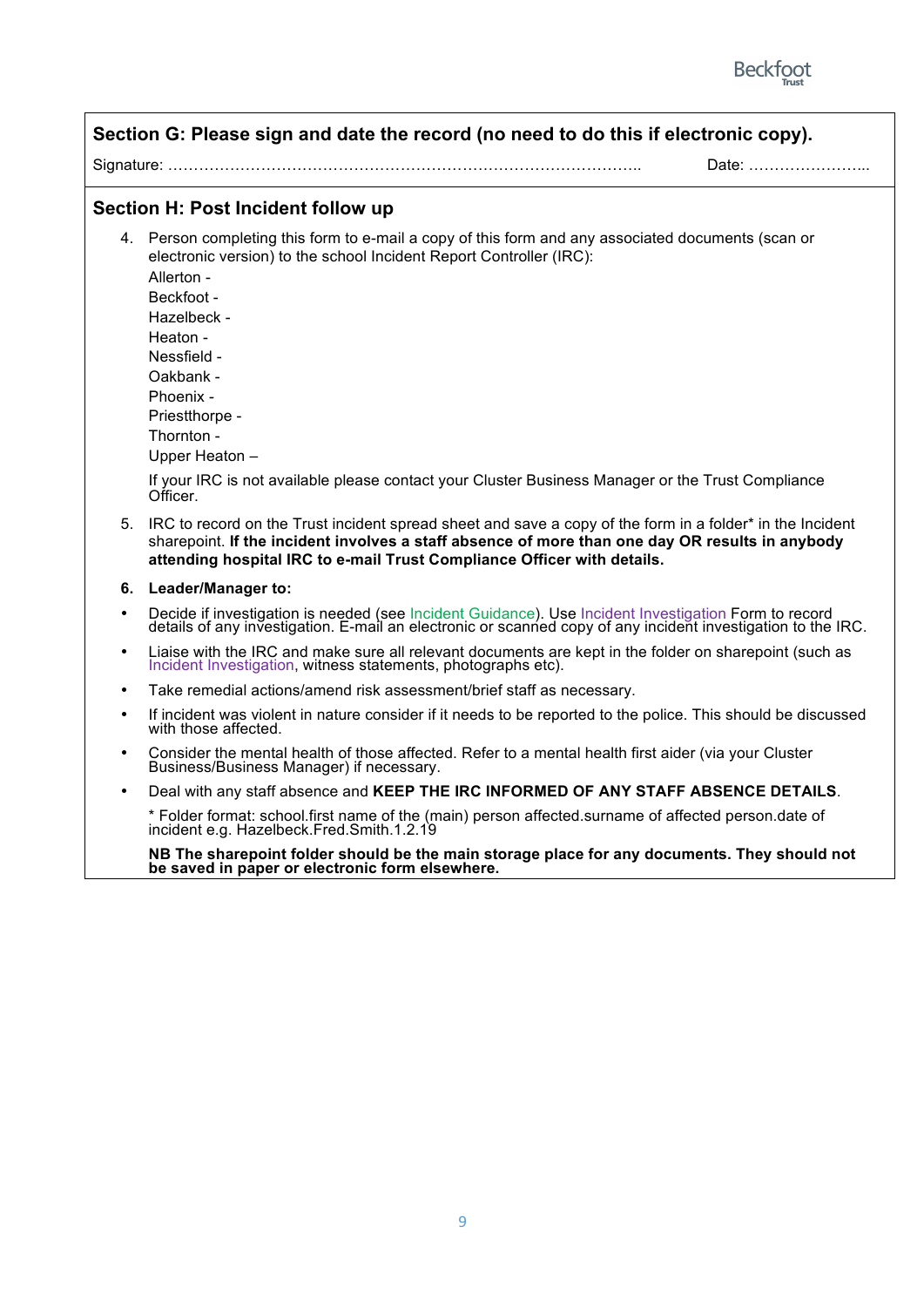

| Section G: Please sign and date the record (no need to do this if electronic copy). |                                                                                                                                                                                                                                                                                                                                                                                                                                              |  |
|-------------------------------------------------------------------------------------|----------------------------------------------------------------------------------------------------------------------------------------------------------------------------------------------------------------------------------------------------------------------------------------------------------------------------------------------------------------------------------------------------------------------------------------------|--|
|                                                                                     | Date:                                                                                                                                                                                                                                                                                                                                                                                                                                        |  |
|                                                                                     | Section H: Post Incident follow up                                                                                                                                                                                                                                                                                                                                                                                                           |  |
|                                                                                     | 4. Person completing this form to e-mail a copy of this form and any associated documents (scan or<br>electronic version) to the school Incident Report Controller (IRC):<br>Allerton -<br>Beckfoot -<br>Hazelbeck -<br>Heaton -<br>Nessfield -<br>Oakbank -<br>Phoenix -<br>Priestthorpe -<br>Thornton -<br>Upper Heaton -<br>If your IRC is not available please contact your Cluster Business Manager or the Trust Compliance<br>Officer. |  |
| 5.                                                                                  | IRC to record on the Trust incident spread sheet and save a copy of the form in a folder* in the Incident<br>sharepoint. If the incident involves a staff absence of more than one day OR results in anybody<br>attending hospital IRC to e-mail Trust Compliance Officer with details.                                                                                                                                                      |  |
| 6.                                                                                  | Leader/Manager to:                                                                                                                                                                                                                                                                                                                                                                                                                           |  |
| $\bullet$                                                                           | Decide if investigation is needed (see Incident Guidance). Use Incident Investigation Form to record details of any investigation. E-mail an electronic or scanned copy of any incident investigation to the IRC.                                                                                                                                                                                                                            |  |
|                                                                                     | Liaise with the IRC and make sure all relevant documents are kept in the folder on sharepoint (such as<br>Incident Investigation, witness statements, photographs etc).                                                                                                                                                                                                                                                                      |  |
|                                                                                     | Take remedial actions/amend risk assessment/brief staff as necessary.                                                                                                                                                                                                                                                                                                                                                                        |  |
| $\bullet$                                                                           | If incident was violent in nature consider if it needs to be reported to the police. This should be discussed<br>with those affected.                                                                                                                                                                                                                                                                                                        |  |
|                                                                                     | Consider the mental health of those affected. Refer to a mental health first aider (via your Cluster<br>Business/Business Manager) if necessary.                                                                                                                                                                                                                                                                                             |  |
|                                                                                     | Deal with any staff absence and KEEP THE IRC INFORMED OF ANY STAFF ABSENCE DETAILS.                                                                                                                                                                                                                                                                                                                                                          |  |
|                                                                                     | * Folder format: school.first name of the (main) person affected.surname of affected person.date of<br>incident e.g. Hazelbeck.Fred.Smith.1.2.19                                                                                                                                                                                                                                                                                             |  |
|                                                                                     | NB The sharepoint folder should be the main storage place for any documents. They should not<br>be saved in paper or electronic form elsewhere.                                                                                                                                                                                                                                                                                              |  |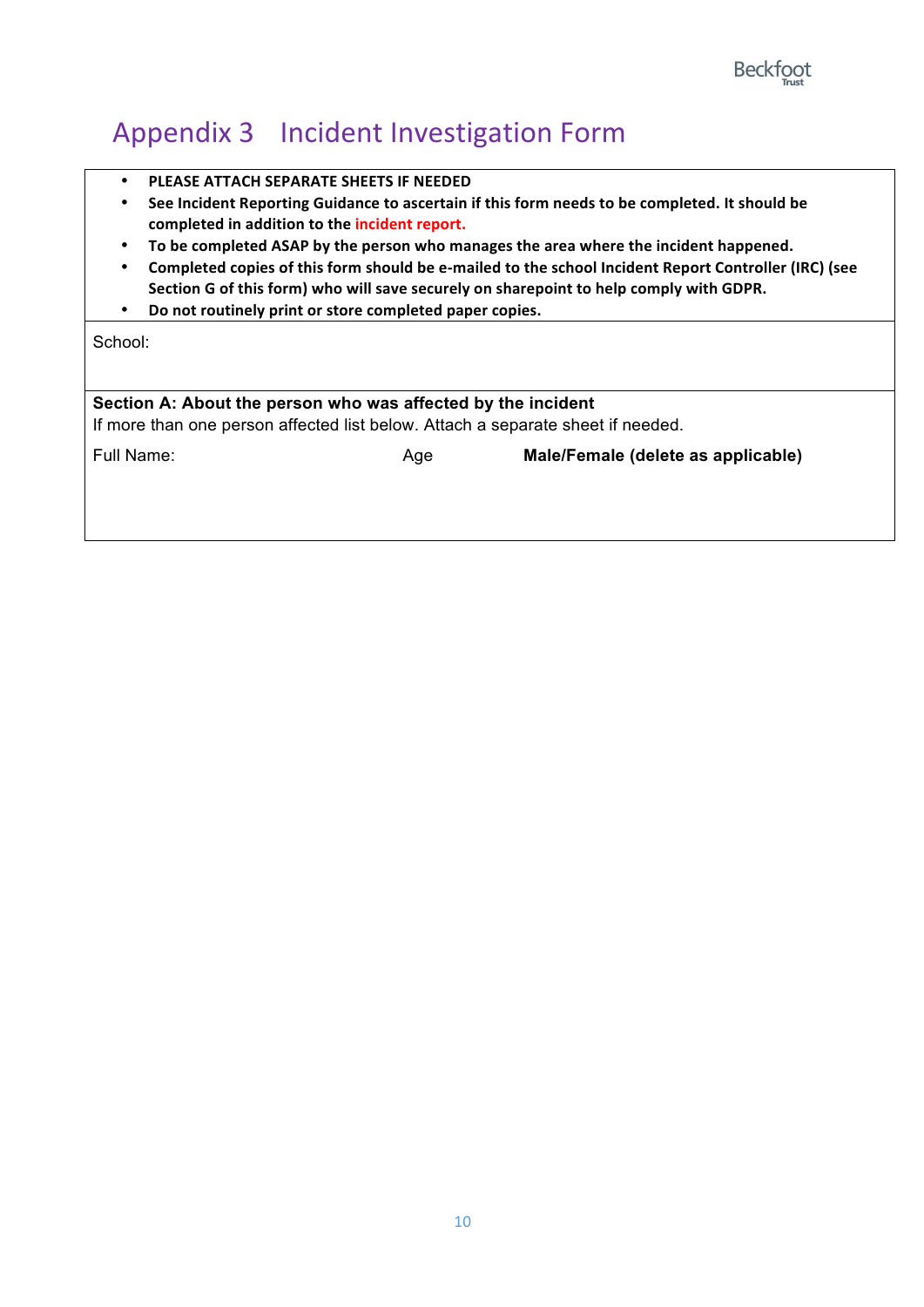### Appendix 3 Incident Investigation Form

- **PLEASE ATTACH SEPARATE SHEETS IF NEEDED**
- See Incident Reporting Guidance to ascertain if this form needs to be completed. It should be completed in addition to the incident report.
- To be completed ASAP by the person who manages the area where the incident happened.
- Completed copies of this form should be e-mailed to the school Incident Report Controller (IRC) (see Section G of this form) who will save securely on sharepoint to help comply with GDPR.
- Do not routinely print or store completed paper copies.

School:

#### **Section A: About the person who was affected by the incident**

If more than one person affected list below. Attach a separate sheet if needed.

Full Name: Age **Male/Female (delete as applicable)**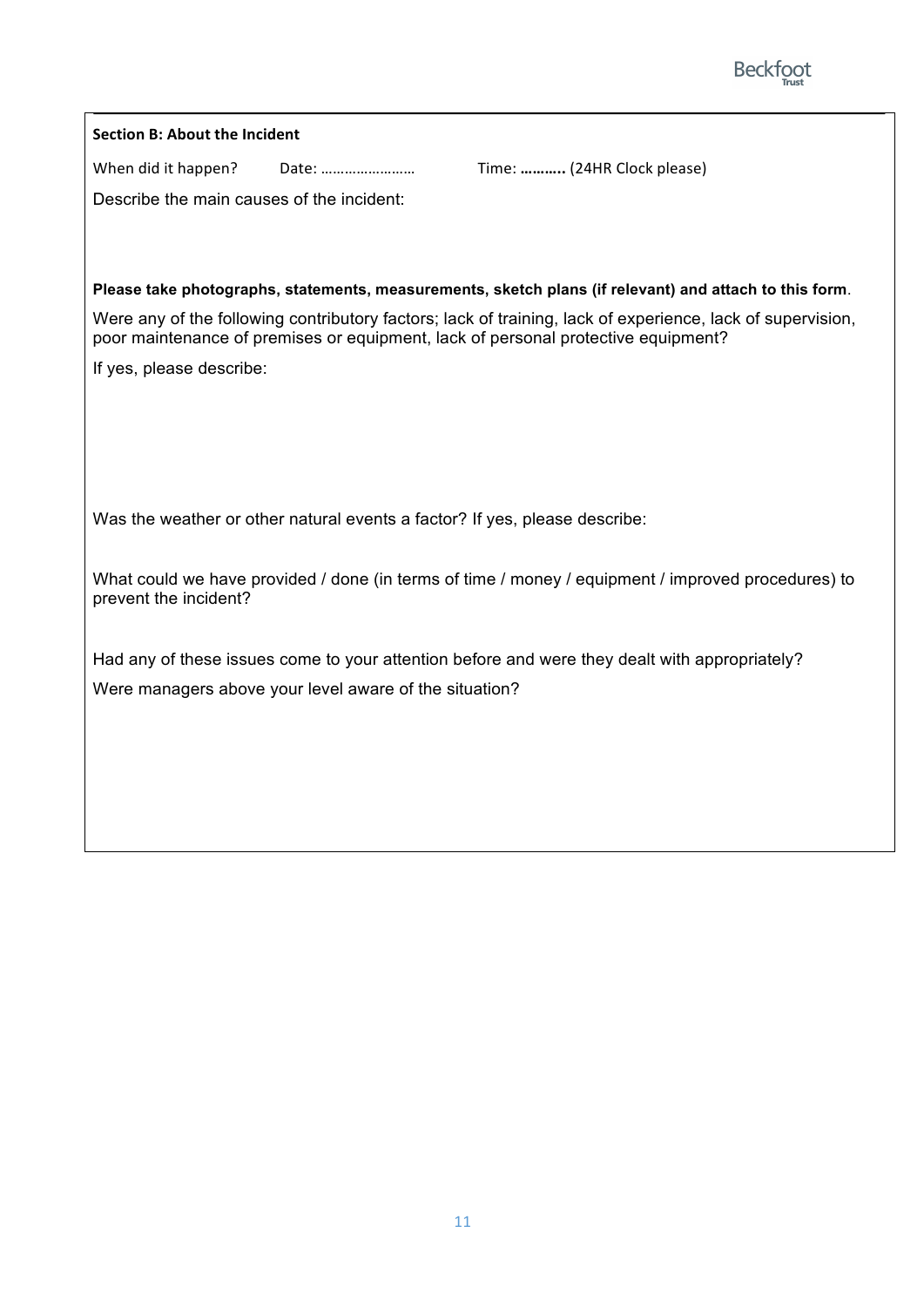

| <b>Section B: About the Incident</b>      |                                                                            |                                                                                                                                                                                                 |
|-------------------------------------------|----------------------------------------------------------------------------|-------------------------------------------------------------------------------------------------------------------------------------------------------------------------------------------------|
| When did it happen?                       | Date:                                                                      | Time:  (24HR Clock please)                                                                                                                                                                      |
| Describe the main causes of the incident: |                                                                            |                                                                                                                                                                                                 |
|                                           |                                                                            |                                                                                                                                                                                                 |
|                                           |                                                                            |                                                                                                                                                                                                 |
|                                           |                                                                            | Please take photographs, statements, measurements, sketch plans (if relevant) and attach to this form.                                                                                          |
|                                           |                                                                            | Were any of the following contributory factors; lack of training, lack of experience, lack of supervision,<br>poor maintenance of premises or equipment, lack of personal protective equipment? |
| If yes, please describe:                  |                                                                            |                                                                                                                                                                                                 |
|                                           |                                                                            |                                                                                                                                                                                                 |
|                                           |                                                                            |                                                                                                                                                                                                 |
|                                           |                                                                            |                                                                                                                                                                                                 |
|                                           | Was the weather or other natural events a factor? If yes, please describe: |                                                                                                                                                                                                 |
| prevent the incident?                     |                                                                            | What could we have provided / done (in terms of time / money / equipment / improved procedures) to                                                                                              |
|                                           |                                                                            | Had any of these issues come to your attention before and were they dealt with appropriately?                                                                                                   |
|                                           | Were managers above your level aware of the situation?                     |                                                                                                                                                                                                 |
|                                           |                                                                            |                                                                                                                                                                                                 |
|                                           |                                                                            |                                                                                                                                                                                                 |
|                                           |                                                                            |                                                                                                                                                                                                 |
|                                           |                                                                            |                                                                                                                                                                                                 |